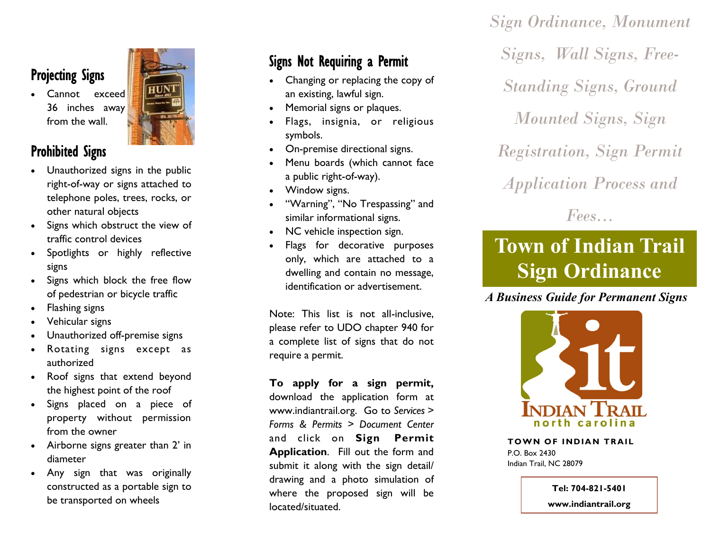# Projecting Signs

 Cannot exceed 36 inches away from the wall.



## Prohibited Signs

- Unauthorized signs in the public right-of-way or signs attached to telephone poles, trees, rocks, or other natural objects
- Signs which obstruct the view of traffic control devices
- Spotlights or highly reflective signs
- Signs which block the free flow of pedestrian or bicycle traffic
- Flashing signs
- Vehicular signs
- Unauthorized off-premise signs
- Rotating signs except as authorized
- Roof signs that extend beyond the highest point of the roof
- Signs placed on a piece of property without permission from the owner
- Airborne signs greater than 2' in diameter
- Any sign that was originally constructed as a portable sign to be transported on wheels

# Signs Not Requiring a Permit

- Changing or replacing the copy of an existing, lawful sign.
- Memorial signs or plaques.
- Flags, insignia, or religious symbols.
- On-premise directional signs.
- Menu boards (which cannot face a public right-of-way).
- Window signs.
- "Warning", "No Trespassing" and similar informational signs.
- NC vehicle inspection sign.
- Flags for decorative purposes only, which are attached to a dwelling and contain no message, identification or advertisement.

Note: This list is not all-inclusive, please refer to UDO chapter 940 for a complete list of signs that do not require a permit.

**To apply for a sign permit,**  download the application form at www.indiantrail.org. Go to *Services > Forms & Permits > Document Center*  and click on **Sign Permit Application**. Fill out the form and submit it along with the sign detail/ drawing and a photo simulation of where the proposed sign will be located/situated.

*Sign Ordinance, Monument Signs, Wall Signs, Free-Standing Signs, Ground Mounted Signs, Sign Registration, Sign Permit Application Process and* 

*Fees...*

# **Town of Indian Trail Sign Ordinance**

*A Business Guide for Permanent Signs*



**TOWN OF INDIAN TRAIL** P.O. Box 2430 Indian Trail, NC 28079

**Tel: 704-821-5401**

**www.indiantrail.org**